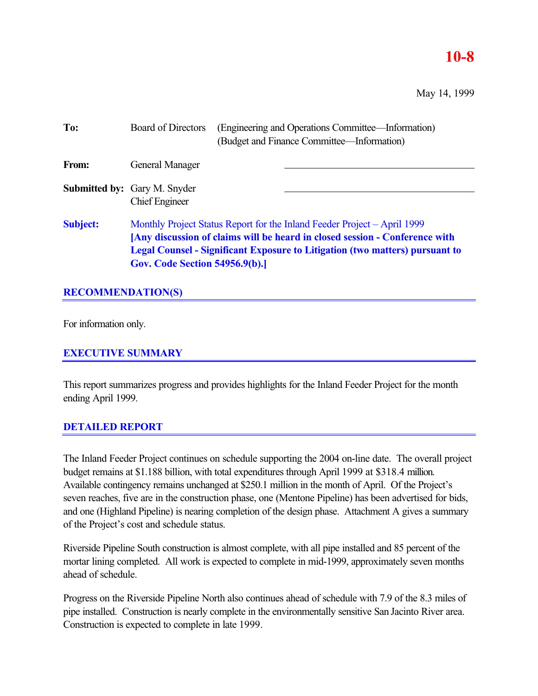### **10-8**

May 14, 1999

| To:             | <b>Board of Directors</b>                                    | (Engineering and Operations Committee—Information)<br>(Budget and Finance Committee—Information)                                                                                                                                               |
|-----------------|--------------------------------------------------------------|------------------------------------------------------------------------------------------------------------------------------------------------------------------------------------------------------------------------------------------------|
| From:           | General Manager                                              |                                                                                                                                                                                                                                                |
|                 | <b>Submitted by:</b> Gary M. Snyder<br><b>Chief Engineer</b> |                                                                                                                                                                                                                                                |
| <b>Subject:</b> | <b>Gov. Code Section 54956.9(b).]</b>                        | Monthly Project Status Report for the Inland Feeder Project – April 1999<br>[Any discussion of claims will be heard in closed session - Conference with<br><b>Legal Counsel - Significant Exposure to Litigation (two matters) pursuant to</b> |

### **RECOMMENDATION(S)**

For information only.

### **EXECUTIVE SUMMARY**

This report summarizes progress and provides highlights for the Inland Feeder Project for the month ending April 1999.

### **DETAILED REPORT**

The Inland Feeder Project continues on schedule supporting the 2004 on-line date. The overall project budget remains at \$1.188 billion, with total expenditures through April 1999 at \$318.4 million. Available contingency remains unchanged at \$250.1 million in the month of April. Of the Project's seven reaches, five are in the construction phase, one (Mentone Pipeline) has been advertised for bids, and one (Highland Pipeline) is nearing completion of the design phase. Attachment A gives a summary of the Project's cost and schedule status.

Riverside Pipeline South construction is almost complete, with all pipe installed and 85 percent of the mortar lining completed. All work is expected to complete in mid-1999, approximately seven months ahead of schedule.

Progress on the Riverside Pipeline North also continues ahead of schedule with 7.9 of the 8.3 miles of pipe installed. Construction is nearly complete in the environmentally sensitive San Jacinto River area. Construction is expected to complete in late 1999.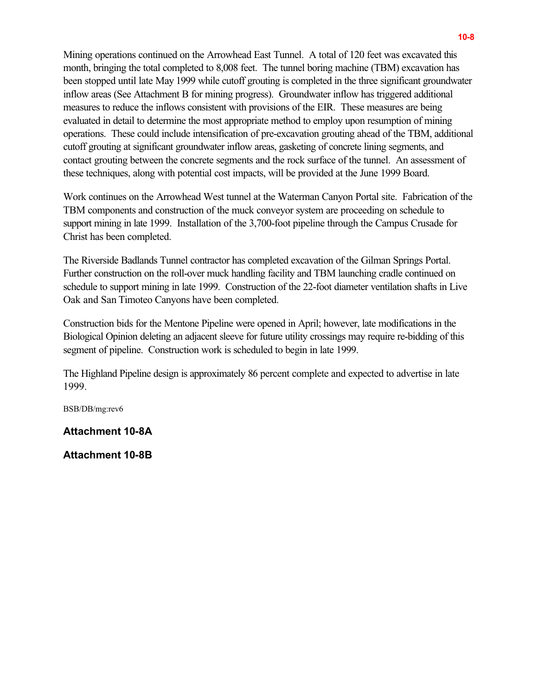Mining operations continued on the Arrowhead East Tunnel. A total of 120 feet was excavated this month, bringing the total completed to 8,008 feet. The tunnel boring machine (TBM) excavation has been stopped until late May 1999 while cutoff grouting is completed in the three significant groundwater inflow areas (See Attachment B for mining progress). Groundwater inflow has triggered additional measures to reduce the inflows consistent with provisions of the EIR. These measures are being evaluated in detail to determine the most appropriate method to employ upon resumption of mining operations. These could include intensification of pre-excavation grouting ahead of the TBM, additional cutoff grouting at significant groundwater inflow areas, gasketing of concrete lining segments, and contact grouting between the concrete segments and the rock surface of the tunnel. An assessment of these techniques, along with potential cost impacts, will be provided at the June 1999 Board.

Work continues on the Arrowhead West tunnel at the Waterman Canyon Portal site. Fabrication of the TBM components and construction of the muck conveyor system are proceeding on schedule to support mining in late 1999. Installation of the 3,700-foot pipeline through the Campus Crusade for Christ has been completed.

The Riverside Badlands Tunnel contractor has completed excavation of the Gilman Springs Portal. Further construction on the roll-over muck handling facility and TBM launching cradle continued on schedule to support mining in late 1999. Construction of the 22-foot diameter ventilation shafts in Live Oak and San Timoteo Canyons have been completed.

Construction bids for the Mentone Pipeline were opened in April; however, late modifications in the Biological Opinion deleting an adjacent sleeve for future utility crossings may require re-bidding of this segment of pipeline. Construction work is scheduled to begin in late 1999.

The Highland Pipeline design is approximately 86 percent complete and expected to advertise in late 1999.

BSB/DB/mg:rev6

### **Attachment 10-8A**

**Attachment 10-8B**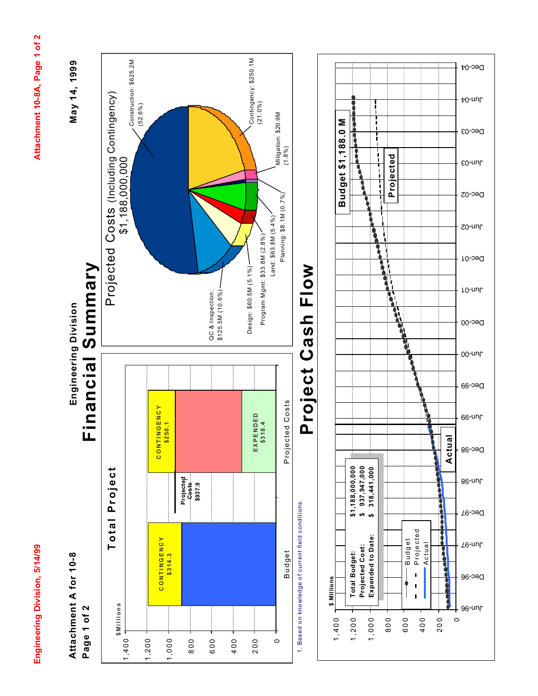Engineering Division, 5/14/99

Attachment 10-8A, Page 1 of 2 **Engineering Division, 5/14/99 Attachment 10-8A, Page 1 of 2**

May 14, 1999

**Attachment A for 10-8**  Attachment A for 10-8 Page 1 of 2 **Page 1 of 2**

**Engineering Division May 14, 1999** Financial Summary **Financial Summary** Engineering Division



1. Based on knowledge of current field conditions. 1. Based on knowledge of current field conditions.

### **Flow Project Cash Flow** Project Cash

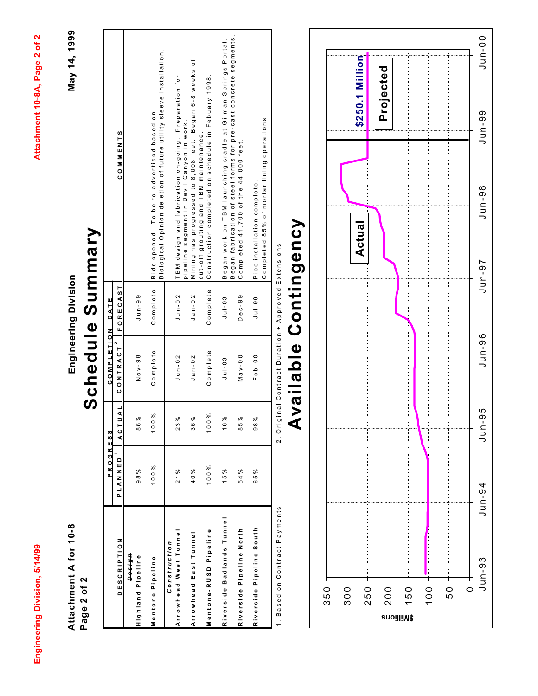May 14, 1999 **Engineering Division May 14, 1999**

**Attachment A for 10-8**  Attachment A for 10-8 Page 2 of 2 **Page 2 of 2**

## Schedule Summary **Schedule Summary** Engineering Division

|                               | <b>PROGRESS</b> |                 | COMPLETION                                    | DATE      |                                                                                                                  |
|-------------------------------|-----------------|-----------------|-----------------------------------------------|-----------|------------------------------------------------------------------------------------------------------------------|
| <b>DESCRIPTION</b>            | PLANNED         | JAL<br>ACT      | <b>CONTRACT</b> <sup>2</sup>                  | FORECAST  | <b>COMMENTS</b>                                                                                                  |
| neisen                        |                 |                 |                                               |           |                                                                                                                  |
| Highland Pipeline             | 98%             | 86%             | Nov-98                                        | $J$ un-99 |                                                                                                                  |
| Mentone Pipeline              | 100%            | ಸಿ<br>100       | Complete                                      | Complete  | Biological Opinion deletion of future utility sleeve installation.<br>Bids opened - To be re-advertised based on |
| Construction                  |                 |                 |                                               |           |                                                                                                                  |
| Arrowhead West Tunne          | 21%             | $\frac{3}{2}$   | $J$ un-02                                     | $J$ un-02 | TBM design and fabrication on-going. Preparation for<br>pipeline segment in Devil Canyon in work.                |
| Arrowhead East Tunne          | 40%             | 36 <sub>1</sub> | $J$ an-02                                     | $Jan-02$  | Mining has progressed to 8,008 feet. Began 6-8 weeks of<br>cut-off grouting and TBM maintenance                  |
| Mentone-RUSD Pipeline         | 100%            | ೫<br>100        | Complete                                      | Complete  | Construction completed on schedule in Febuary 1998.                                                              |
| Riverside Badlands Tunnel     | 15%             | 16%             | $J$ ul-03                                     | $J$ ul-03 | Began work on TBM launching cradle at Gilman Springs Portal.                                                     |
| Riverside Pipeline North      | 54%             | _ი<br>85        | May-00                                        | Dec-99    | Began fabrication of steel forms for pre-cast concrete segments.<br>Completed 41,700 of the 44,000 feet.         |
| Riverside Pipeline South      | 65%             | 98%             | $F$ eb-00                                     | $J$ ul-99 | Completed 85% of mortar lining operations<br>Pipe installation complete.                                         |
| 1. Based on Contract Payments |                 | 2.01            | ginal Contract Duration + Approved Extensions |           |                                                                                                                  |

2. Original Contract Duration + Approved Extensions 1. Based on Contract Payments 2. Original Contract Duration + Approved Extensions

# Available Contingency **Available Contingency**

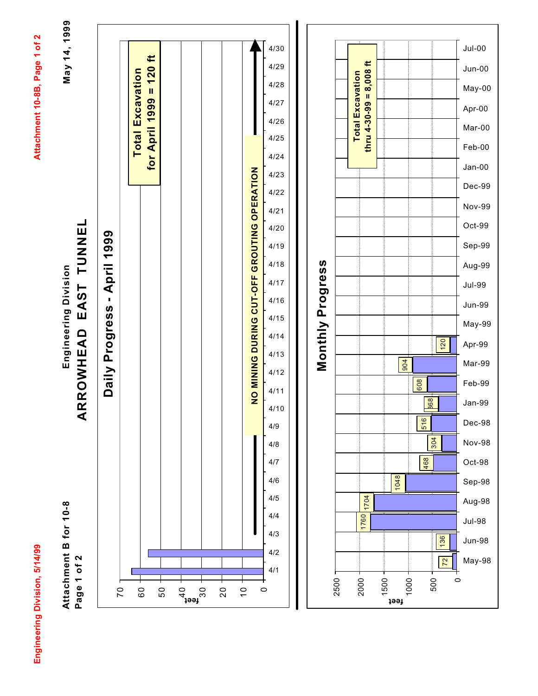Engineering Division, 5/14/99

Attachment 10-8B, Page 1 of 2 **Engineering Division, 5/14/99 Attachment 10-8B, Page 1 of 2**

**Attachment B for 10-8**  Attachment B for 10-8 Page 1 of 2 **Page 1 of 2**

EAST TUNNEL **ARROWHEAD EAST TUNNEL** Engineering Division **Engineering Division** ARROWHEAD

May 14, 1999 **May 14, 1999**